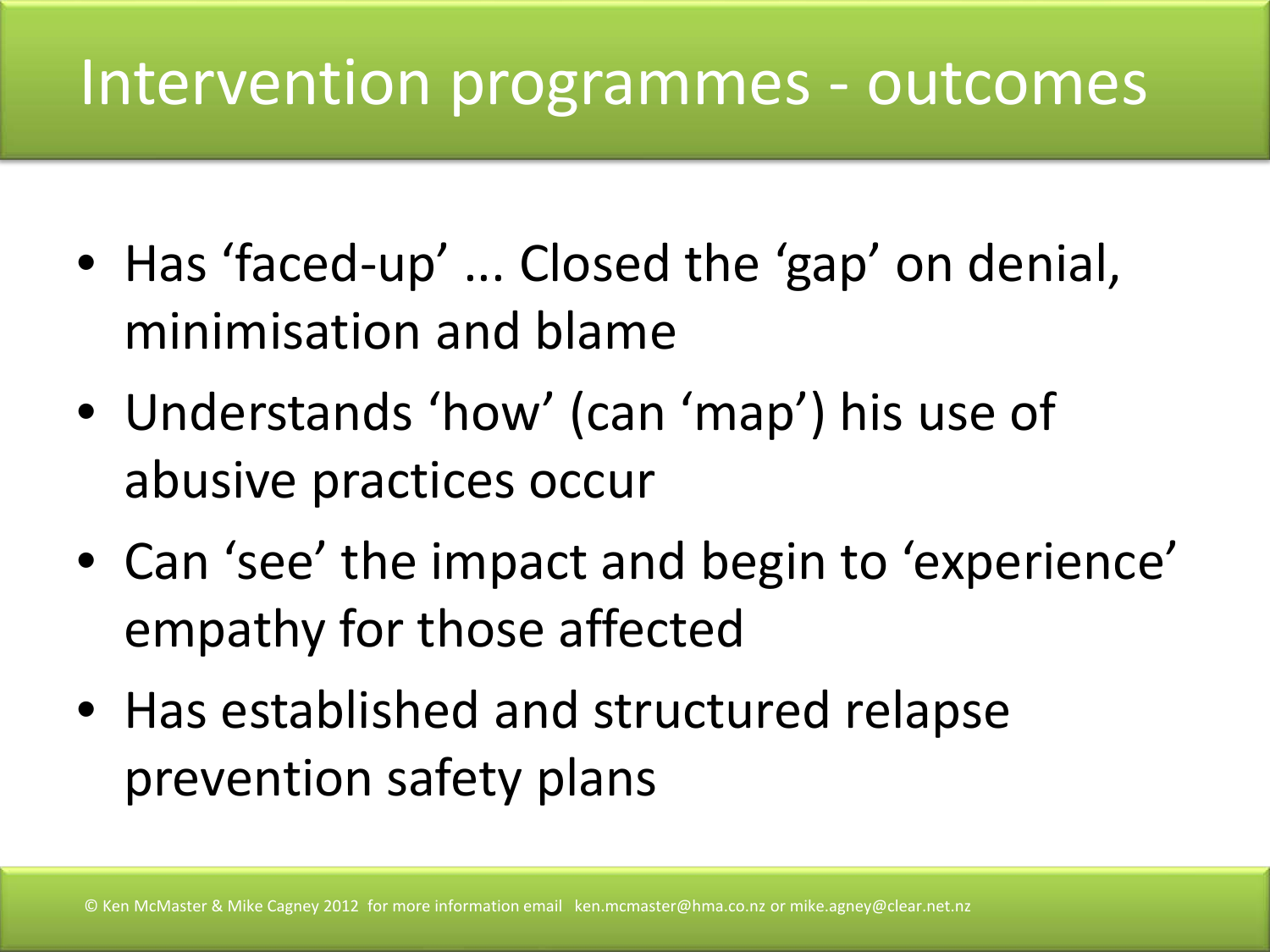### Intervention programmes - outcomes

- Has 'faced-up' ... Closed the 'gap' on denial, minimisation and blame
- Understands 'how' (can 'map') his use of abusive practices occur
- Can 'see' the impact and begin to 'experience' empathy for those affected
- Has established and structured relapse prevention safety plans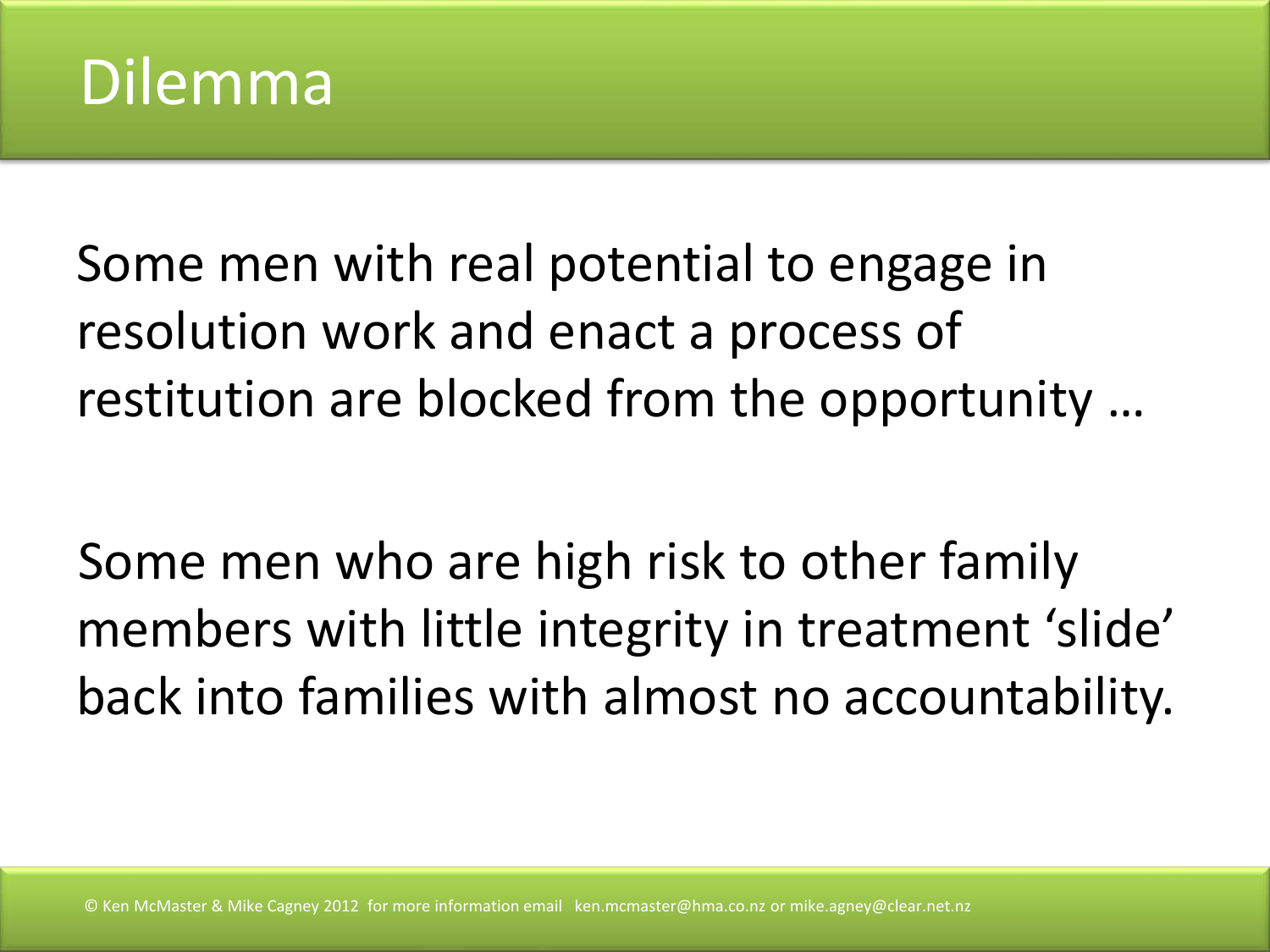

Some men with real potential to engage in resolution work and enact a process of restitution are blocked from the opportunity …

Some men who are high risk to other family members with little integrity in treatment 'slide' back into families with almost no accountability.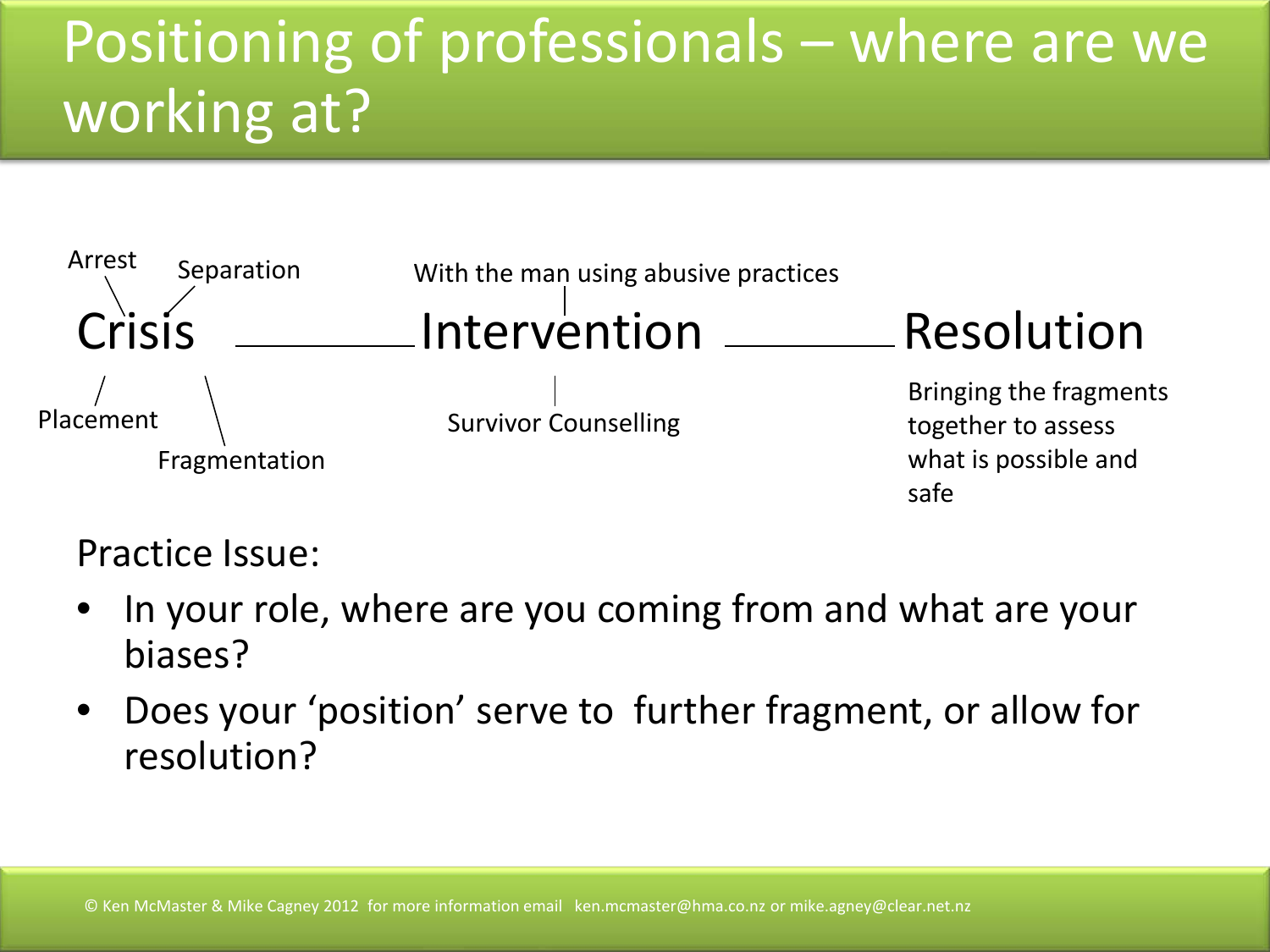### Positioning of professionals – where are we working at?



#### Practice Issue:

- In your role, where are you coming from and what are your biases?
- Does your 'position' serve to further fragment, or allow for resolution?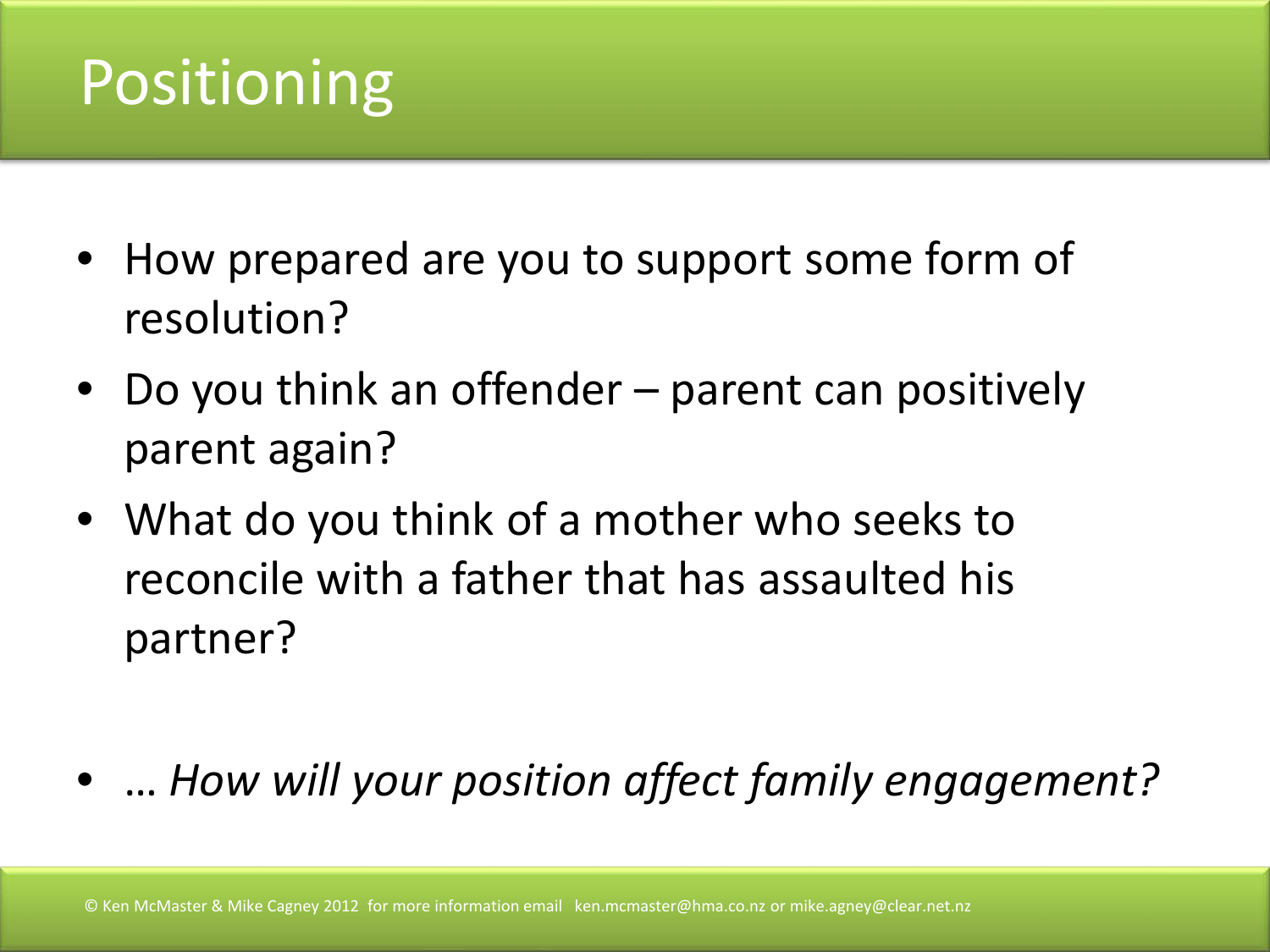## Positioning

- How prepared are you to support some form of resolution?
- Do you think an offender parent can positively parent again?
- What do you think of a mother who seeks to reconcile with a father that has assaulted his partner?
- … *How will your position affect family engagement?*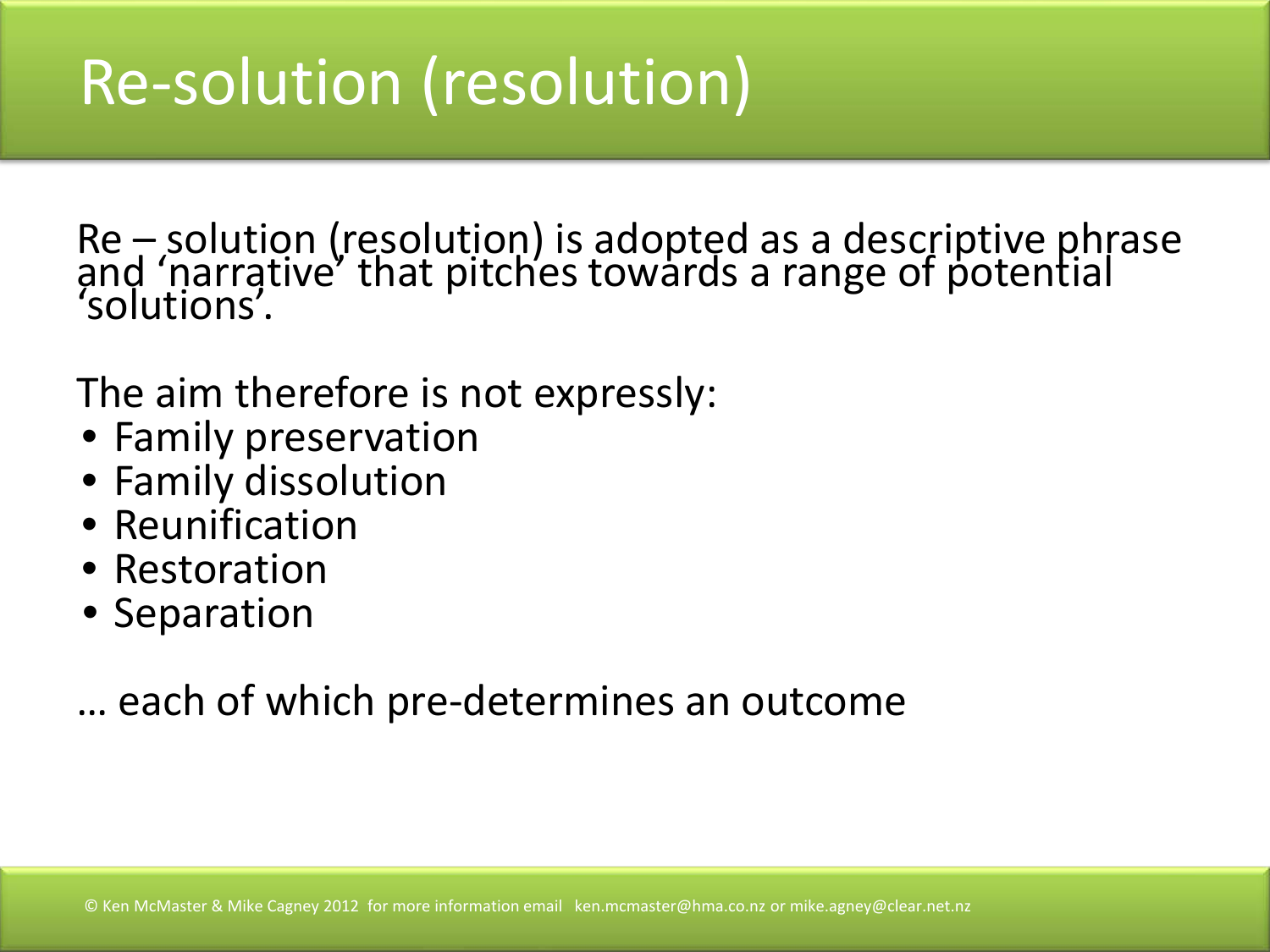# Re-solution (resolution)

Re – solution (resolution) is adopted as a descriptive phrase<br>and 'narrative' that pitches towards a range of potential 'solutions'.

The aim therefore is not expressly:

- Family preservation
- Family dissolution
- Reunification
- Restoration
- Separation

… each of which pre-determines an outcome